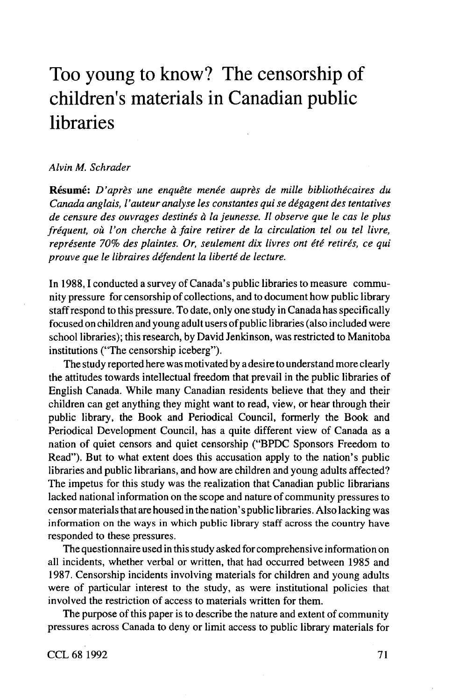# Too young to know? The censorship of children's materials in Canadian public libraries

### *Alvin M. Schrader*

**Resume:** *D'apres line enquete menee aupres de mille bibliothecaires du Canada anglais, I'auteur analyse les constantes qui se degagent des tentatives de censure des ouvrages destines a la jeunesse. II observe que Ie cos Ie plus frequent, oil I'on cherche a faire retirer de la circulation tel ou tel livre,* représente 70% des plaintes. Or, seulement dix livres ont été retirés, ce qui *prouve que Ie libraires defendent la liberte de lecture.*

In 1988, I conducted a survey of Canada's public libraries to measure community pressure for censorship of collections, and to document how public library staff respond to this pressure. To date, only one study in Canada has specifically focused on children and young adult users of public libraries (also included were school libraries); this research, by David Jenkinson, was restricted to Manitoba institutions ("The censorship iceberg").

The study reported here was motivated by a desire to understand more clearly the attitudes towards intellectual freedom that prevail in the public libraries of English Canada. While many Canadian residents believe that they and their children can get anything they might want to read, view, or hear through their public library, the Book and Periodical Council, formerly the Book and Periodical Development Council, has a quite different view of Canada as a nation of quiet censors and quiet censorship ("BPDC Sponsors Freedom to Read"). But to what extent does this accusation apply to the nation's public libraries and public librarians, and how are children and young adults affected? The impetus for this study was the realization that Canadian public librarians lacked national information on the scope and nature of community pressures to censor materials that are housed in the nation's public libraries. Also lacking was information on the ways in which public library staff across the country have responded to these pressures.

The questionnaire used in this study asked for comprehensive information on all incidents, whether verbal or written, that had occurred between 1985 and 1987. Censorship incidents involving materials for children and young adults were of particular interest to the study, as were institutional policies that involved the restriction of access to materials written for them.

The purpose of this paper is to describe the nature and extent of community pressures across Canada to deny or limit access to public library materials for

CCL681992 71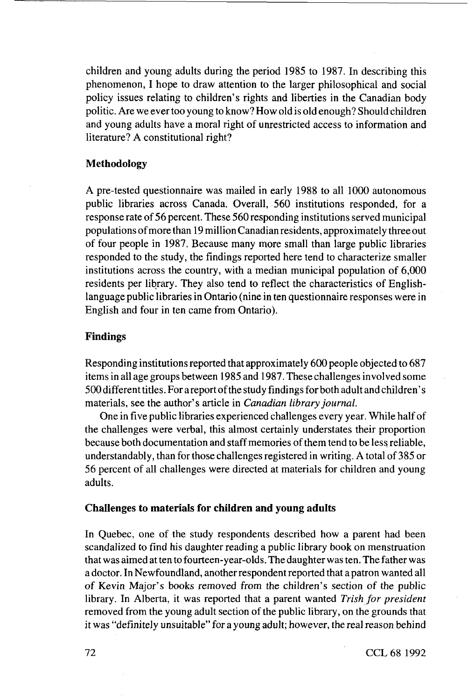children and young adults during the period 1985 to 1987. In describing this phenomenon, I hope to draw attention to the larger philosophical and social policy issues relating to children's rights and liberties in the Canadian body politic. Are we ever too young to know? How old is old enough? Should children and young adults have a moral right of unrestricted access to information and literature? A constitutional right?

# **Methodology**

A pre-tested questionnaire was mailed in early 1988 to all 1000 autonomous public libraries across Canada. Overall, 560 institutions responded, for a response rate of 56 percent. These 560 responding institutions served municipal populations of more than 19 million Canadian residents, approximately three out of four people in 1987. Because many more small than large public libraries responded to the study, the findings reported here tend to characterize smaller institutions across the country, with a median municipal population of 6,000 residents per library. They also tend to reflect the characteristics of Englishlanguage public libraries in Ontario (nine in ten questionnaire responses were in English and four in ten came from Ontario).

# **Findings**

Responding institutions reported that approximately 600 people objected to 687 items in all age groups between 1985 and 1987. These challenges involved some 500 different titles. For a report of the study findings for both adult and children' s materials, see the author's article in *Canadian library journal.*

One in five public libraries experienced challenges every year. While half of the challenges were verbal, this almost certainly understates their proportion because both documentation and staff memories of them tend to be less reliable, understandably, than for those challenges registered in writing. A total of 385 or 56 percent of all challenges were directed at materials for children and young adults.

### **Challenges to materials for children and young adults**

In Quebec, one of the study respondents described how a parent had been scandalized to find his daughter reading a public library book on menstruation that was aimed at ten to fourteen-year-olds. The daughter was ten. The father was a doctor. In Newfoundland, another respondent reported that a patron wanted all of Kevin Major's books removed from the children's section of the public library. In Alberta, it was reported that a parent wanted *Trish for president* removed from the young adult section of the public library, on the grounds that it was "definitely unsuitable" for a young adult; however, the real reason behind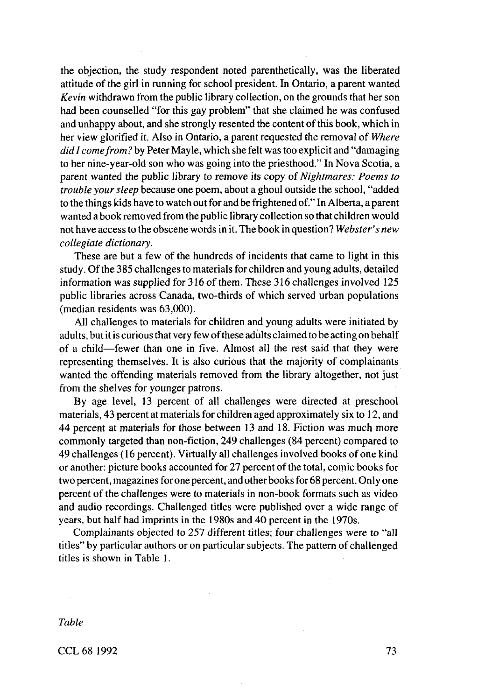the objection, the study respondent noted parenthetically, was the liberated attitude of the girl in running for school president. In Ontario, a parent wanted *Kevin* withdrawn from the public library collection, on the grounds that her son had been counselled "for this gay problem" that she claimed he was confused and unhappy about, and she strongly resented the content of this book, which in her view glorified it. Also in Ontario, a parent requested the removal of *Where did I come from?* by Peter Mayle, which she felt was too explicit and "damaging" to her nine-year-old son who was going into the priesthood." In Nova Scotia, a parent wanted the public library to remove its copy of *Nightmares: Poems to trouble your sleep* because one poem, about a ghoul outside the school, "added to the things kids have to watch out for and be frightened of." In Alberta, a parent wanted a book removed from the public library collection so that children would not have access to the obscene words in it. The book in question? *Webster's new collegiate dictionary.*

These are but a few of the hundreds of incidents that came to light in this study. Of the 385 challenges to materials for children and young adults, detailed information was supplied for 316 of them. These 316 challenges involved 125 public libraries across Canada, two-thirds of which served urban populations (median residents was 63,000).

All challenges to materials for children and young adults were initiated by adults, but it is curious that very few of these adults claimed to be acting on behalf of a child—fewer than one in five. Almost all the rest said that they were representing themselves. It is also curious that the majority of complainants wanted the offending materials removed from the library altogether, not just from the shelves for younger patrons.

By age level, 13 percent of all challenges were directed at preschool materials, 43 percent at materials for children aged approximately six to 12, and 44 percent at materials for those between 13 and 18. Fiction was much more commonly targeted than non-fiction, 249 challenges (84 percent) compared to 49 challenges (16 percent). Virtually all challenges involved books of one kind or another: picture books accounted for 27 percent of the total, comic books for two percent, magazines for one percent, and other books for 68 percent. Only one percent of the challenges were to materials in non-book formats such as video and audio recordings. Challenged titles were published over a wide range of years, but half had imprints in the 1980s and 40 percent in the 1970s.

Complainants objected to 257 different titles; four challenges were to "all titles" by particular authors or on particular subjects. The pattern of challenged titles is shown in Table 1.

*Table*

CCL 68 1992 73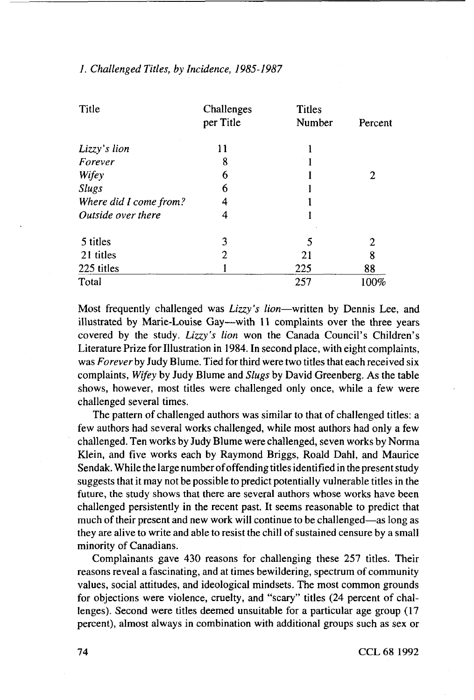| Title                  | Challenges<br>per Title | <b>Titles</b><br>Number | Percent |
|------------------------|-------------------------|-------------------------|---------|
| Lizzy's lion           | 11                      |                         |         |
| Forever                | 8                       |                         |         |
| Wifey                  | 6                       |                         | 2       |
| <b>Slugs</b>           | 6                       |                         |         |
| Where did I come from? | 4                       |                         |         |
| Outside over there     | 4                       |                         |         |
| 5 titles               | 3                       | 5                       | 2       |
| 21 titles              | 2                       | 21                      | 8       |
| 225 titles             |                         | 225                     | 88      |
| Total                  |                         | 257                     | 100%    |

# 7. *Challenged Titles, by Incidence, 1985-1987*

Most frequently challenged was *Lizzy's lion—*written by Dennis Lee, and illustrated by Marie-Louise Gay—with 11 complaints over the three years covered by the study. *Lizzy's lion* won the Canada Council's Children's Literature Prize for Illustration in 1984. In second place, with eight complaints, was Forever by Judy Blume. Tied for third were two titles that each received six complaints, *Wifey* by Judy Blume and *Slugs* by David Greenberg. As the table shows, however, most titles were challenged only once, while a few were challenged several times.

The pattern of challenged authors was similar to that of challenged titles: a few authors had several works challenged, while most authors had only a few challenged. Ten works by Judy Blume were challenged, seven works by Norma Klein, and five works each by Raymond Briggs, Roald Dahl, and Maurice Sendak. While the large number of offending titles identified in the present study suggests that it may not be possible to predict potentially vulnerable titles in the future, the study shows that there are several authors whose works have been challenged persistently in the recent past. It seems reasonable to predict that much of their present and new work will continue to be challenged—as long as they are alive to write and able to resist the chill of sustained censure by a small minority of Canadians.

Complainants gave 430 reasons for challenging these 257 titles. Their reasons reveal a fascinating, and at times bewildering, spectrum of community values, social attitudes, and ideological mindsets. The most common grounds for objections were violence, cruelty, and "scary" titles (24 percent of challenges). Second were titles deemed unsuitable for a particular age group (17 percent), almost always in combination with additional groups such as sex or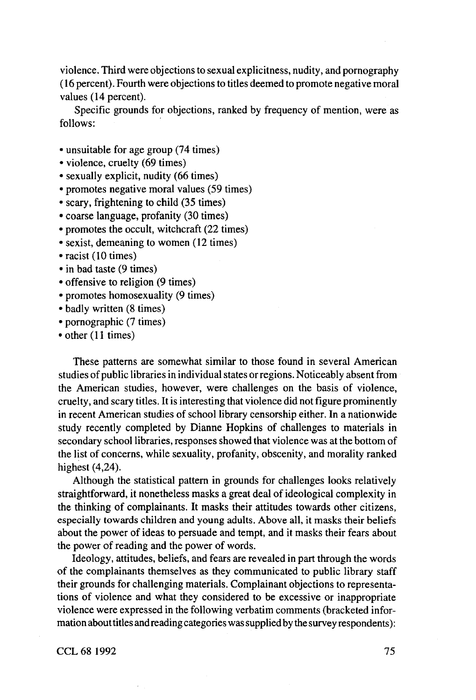violence. Third were objections to sexual explicitness, nudity, and pornography (16 percent). Fourth were objections to titles deemed to promote negative moral values (14 percent).

Specific grounds for objections, ranked by frequency of mention, were as follows:

- unsuitable for age group (74 times)
- violence, cruelty (69 times)
- sexually explicit, nudity (66 times)
- promotes negative moral values (59 times)
- scary, frightening to child (35 times)
- coarse language, profanity (30 times)
- promotes the occult, witchcraft (22 times)
- sexist, demeaning to women (12 times)
- racist (10 times)
- in bad taste (9 times)
- offensive to religion (9 times)
- promotes homosexuality (9 times)
- badly written (8 times)
- pornographic (7 times)
- other (11 times)

These patterns are somewhat similar to those found in several American studies of public libraries in individual states or regions. Noticeably absent from the American studies, however, were challenges on the basis of violence, cruelty, and scary titles. It is interesting that violence did not figure prominently in recent American studies of school library censorship either. In a nationwide study recently completed by Dianne Hopkins of challenges to materials in secondary school libraries, responses showed that violence was at the bottom of the list of concerns, while sexuality, profanity, obscenity, and morality ranked highest (4,24).

Although the statistical pattern in grounds for challenges looks relatively straightforward, it nonetheless masks a great deal of ideological complexity in the thinking of complainants. It masks their attitudes towards other citizens, especially towards children and young adults. Above all, it masks their beliefs about the power of ideas to persuade and tempt, and it masks their fears about the power of reading and the power of words.

Ideology, attitudes, beliefs, and fears are revealed in part through the words of the complainants themselves as they communicated to public library staff their grounds for challenging materials. Complainant objections to representations of violence and what they considered to be excessive or inappropriate violence were expressed in the following verbatim comments (bracketed information about titles and reading categories was supplied by the survey respondents):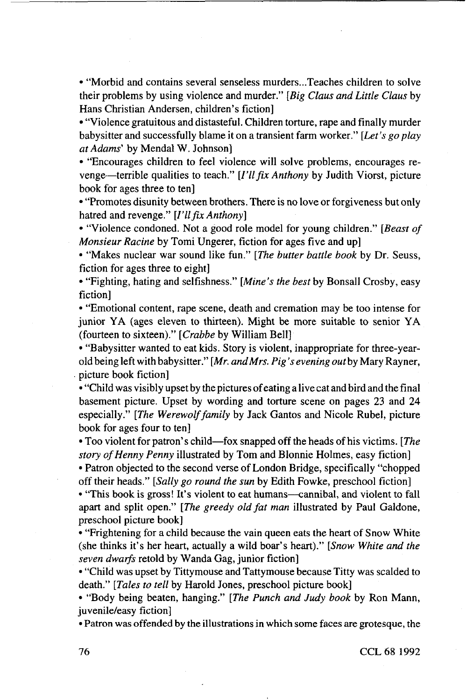• "Morbid and contains several senseless murders...Teaches children to solve their problems by using violence and murder." *[Big Claus and Little Claus* by Hans Christian Andersen, children's fiction]

• "Violence gratuitous and distasteful. Children torture, rape and finally murder babysitter and successfully blame it on a transient farm worker." *[Let's go play at Adams'* by Mendal W. Johnson]

• "Encourages children to feel violence will solve problems, encourages revenge—terrible qualities to teach." *[I'll fix Anthony* by Judith Viorst, picture book for ages three to ten]

• "Promotes disunity between brothers. There is no love or forgiveness but only hatred and revenge." *[I'll fix Anthony}*

• "Violence condoned. Not a good role model for young children." *[Beast of Monsieur Racine* by Tomi Ungerer, fiction for ages five and up]

• "Makes nuclear war sound like fun." *[The butter battle book* by Dr. Seuss, fiction for ages three to eight]

• "Fighting, hating and selfishness." *[Mine's the best* by Bonsall Crosby, easy fiction]

• "Emotional content, rape scene, death and cremation may be too intense for junior YA (ages eleven to thirteen). Might be more suitable to senior YA (fourteen to sixteen)." *[Crabbe* by William Bell]

• "Babysitter wanted to eat kids. Story is violent, inappropriate for three-yearold being left with babysitter." *[Mr. and Mrs. Pig's evening outby* Mary Rayner, picture book fiction]

• "Child was visibly upset by the pictures of eating a live cat and bird and the final basement picture. Upset by wording and torture scene on pages 23 and 24 especially." *[The Werewolf family* by Jack Gantos and Nicole Rubel, picture book for ages four to ten]

• Too violent for patron's child—fox snapped off the heads of his victims. *[The story of Henny Penny* illustrated by Tom and Blonnie Holmes, easy fiction]

• Patron objected to the second verse of London Bridge, specifically "chopped off their heads." *[Sally go round the sun* by Edith Fowke, preschool fiction]

• "This book is gross! It's violent to eat humans—cannibal, and violent to fall apart and split open." *[The greedy old fat man* illustrated by Paul Galdone, preschool picture book]

• "Frightening for a child because the vain queen eats the heart of Snow White (she thinks it's her heart, actually a wild boar's heart)." *[Snow White and the seven dwarfs* retold by Wanda Gag, junior fiction]

• "Child was upset by Tittymouse and Tattymouse because Titty was scalded to death." *[Tales to tell* by Harold Jones, preschool picture book]

• "Body being beaten, hanging." *[The Punch and Judy book* by Ron Mann, juvenile/easy fiction]

• Patron was offended by the illustrations in which some faces are grotesque, the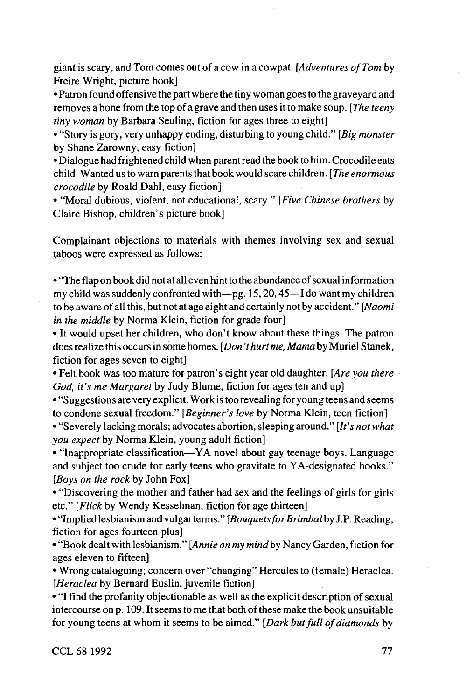giant is scary, and Tom comes out of a cow in a cowpat. *[Adventures of Tom* by Freire Wright, picture book]

• Patron found offensive the part where the tiny woman goes to the graveyard and removes a bone from the top of a grave and then uses it to make soup. *[The teeny tiny woman* by Barbara Seuling, fiction for ages three to eight]

• "Story is gory, very unhappy ending, disturbing to young child." *[Big monster* by Shane Zarowny, easy fiction]

• Dialogue had frightened child when parent read the book to him. Crocodile eats child. Wanted us to warn parents that book would scare children. *[The enormous crocodile* by Roald Dahl, easy fiction]

• "Moral dubious, violent, not educational, scary." *[Five Chinese brothers* by Claire Bishop, children's picture book]

Complainant objections to materials with themes involving sex and sexual taboos were expressed as follows:

• "The flap on book did not at all even hint to the abundance of sexual information my child was suddenly confronted with—pg. 15,20,45—I do want my children to be aware of all this, but not at age eight and certainly not by accident." *[Naomi in the middle* by Norma Klein, fiction for grade four]

• It would upset her children, who don't know about these things. The patron does realize this occurs in some homes. *[Don't hurt me. Mama* by Muriel Stanek, fiction for ages seven to eight]

• Felt book was too mature for patron's eight year old daughter. *[Are you there God, it's me Margaret* by Judy Blume, fiction for ages ten and up]

• "Suggestions are very explicit. Work is too revealing for young teens and seems to condone sexual freedom." *[Beginner's love* by Norma Klein, teen fiction]

• "Severely lacking morals; advocates abortion, sleeping around." *[It'snotwhat you expect* by Norma Klein, young adult fiction]

• "Inappropriate classification—YA novel about gay teenage boys. Language and subject too crude for early teens who gravitate to YA-designated books." *[Boys on the rock* by John Fox]

• "Discovering the mother and father had sex and the feelings of girls for girls etc." *[Flick* by Wendy Kesselman, fiction for age thirteen]

• "Implied lesbianism and vulgar terms." *[BouquetsforBrimbal* by J.P. Reading, fiction for ages fourteen plus]

• "Book dealt with lesbianism." *[Annie on my mind* by Nancy Garden, fiction for ages eleven to fifteen]

• Wrong cataloguing; concern over "changing" Hercules to (female) Heraclea. *[Heraclea* by Bernard Euslin, juvenile fiction]

• "I find the profanity objectionable as well as the explicit description of sexual intercourse on p. 109. It seems to me that both of these make the book unsuitable for young teens at whom it seems to be aimed." *[Dark but full of diamonds* by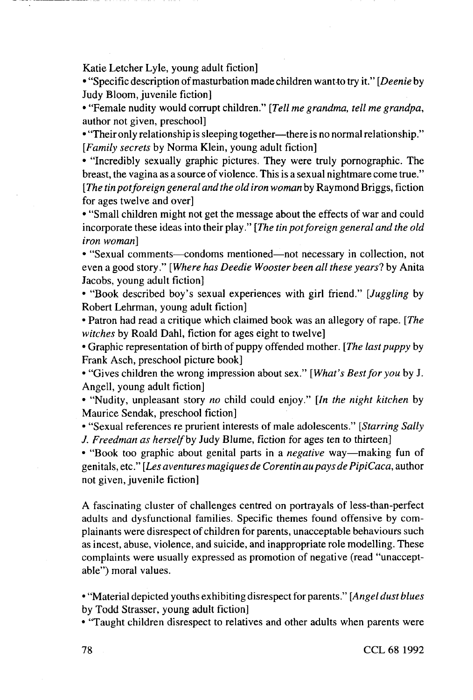Katie Letcher Lyie, young adult fiction]

• "Specific description of masturbation made children want-to try it." *[Deenie* by Judy Bloom, juvenile fiction]

• "Female nudity would corrupt children." *[Tell me grandma, tell me grandpa,* author not given, preschool]

• "Their only relationship is sleeping together—there is no normal relationship." *[Family secrets* by Norma Klein, young adult fiction]

• "Incredibly sexually graphic pictures. They were truly pornographic. The breast, the vagina as a source of violence. This is a sexual nightmare come true." *[The tin pot foreign general and the old iron woman* by Raymond Briggs, fiction for ages twelve and over]

• "Small children might not get the message about the effects of war and could incorporate these ideas into their play." *[The tin pot foreign general and the old iron woman}*

• "Sexual comments—condoms mentioned—not necessary in collection, not even a good story." *[Where has Deedie Wooster been all these years']* by Anita Jacobs, young adult fiction]

• "Book described boy's sexual experiences with girl friend." *[Juggling* by Robert Lehrman, young adult fiction]

• Patron had read a critique which claimed book was an allegory of rape. *[The witches* by Roald Dahl, fiction for ages eight to twelve]

• Graphic representation of birth of puppy offended mother. *[The last puppy* by Frank Asch, preschool picture book]

• "Gives children the wrong impression about sex." *[What's Best for you* by J. Angell, young adult fiction]

• "Nudity, unpleasant story *no* child could enjoy." *[In the night kitchen* by Maurice Sendak, preschool fiction]

• "Sexual references re prurient interests of male adolescents." *[Starring Sally J. Freedman as herself by* Judy Blume, fiction for ages ten to thirteen]

• "Book too graphic about genital parts in a *negative* way—making fun of genitals, etc." *[Les aventures magiques de CorentinaupaysdePipiCaca,* author not given, juvenile fiction]

A fascinating cluster of challenges centred on portrayals of less-than-perfect adults and dysfunctional families. Specific themes found offensive by complainants were disrespect of children for parents, unacceptable behaviours such as incest, abuse, violence, and suicide, and inappropriate role modelling. These complaints were usually expressed as promotion of negative (read "unacceptable") moral values.

• "Material depicted youths exhibiting disrespect for parents." *[Angel dust blues* by Todd Strasser, young adult fiction]

• "Taught children disrespect to relatives and other adults when parents were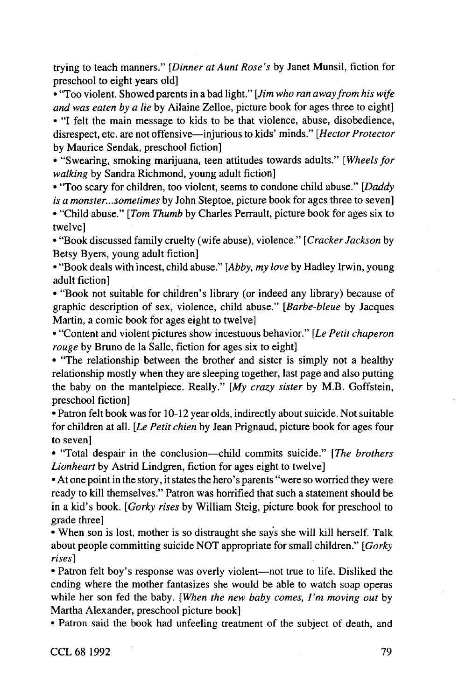trying to teach manners." *[Dinner at Aunt Rose's* by Janet Munsil, fiction for preschool to eight years old]

• "Too violent. Showed parents in a bad light." *[Jim who ran away from his wife and was eaten by a lie* by Ailaine Zeiloe, picture book for ages three to eight]

• "I felt the main message to kids to be that violence, abuse, disobedience, disrespect, etc. are not offensive—injurious to kids' minds." *[Hector Protector by* Maurice Sendak, preschool fiction]

• "Swearing, smoking marijuana, teen attitudes towards adults." *[Wheels/or walking* by Sandra Richmond, young adult fiction]

• "Too scary for children, too violent, seems to condone child abuse." *[Daddy is a monster... sometimes* by John Steptoe, picture book for ages three to seven] • "Child abuse." *[Tom Thumb* by Charles Perrault, picture book for ages six to twelve]

• "Book discussed family cruelty (wife abuse), violence." *[Cracker Jackson* by Betsy Byers, young adult fiction]

• "Book deals with incest, child abuse." *[Abby, my love* by Hadley Irwin, young adult fiction]

• "Book not suitable for children's library (or indeed any library) because of graphic description of sex, violence, child abuse." *[Barbe-bleue* by Jacques Martin, a comic book for ages eight to twelve]

• "Content and violent pictures show incestuous behavior." *[Le Petit chaperon rouge* by Bruno de la Salle, fiction for ages six to eight]

• "The relationship between the brother and sister is simply not a healthy relationship mostly when they are sleeping together, last page and also putting the baby on the mantelpiece. Really." *[My crazy sister* by M.B. Goffstein, preschool fiction]

• Patron felt book was for 10-12 year olds, indirectly about suicide. Not suitable for children at all. *[Le Petit chien* by Jean Prignaud, picture book for ages four to seven]

• "Total despair in the conclusion—child commits suicide." *[The brothers Lionheart* by Astrid Lindgren, fiction for ages eight to twelve]

• At one point in the story, it states the hero's parents "were so worried they were ready to kill themselves." Patron was horrified that such a statement should be in a kid's book. *[Gorky rises* by William Steig, picture book for preschool to grade three]

• When son is lost, mother is so distraught she says she will kill herself. Talk about people committing suicide NOT appropriate for small children." *[Gorky rises]*

*•* Patron felt boy's response was overly violent—not true to life. Disliked the ending where the mother fantasizes she would be able to watch soap operas while her son fed the baby. *[When the new baby comes, I' m moving out* by Martha Alexander, preschool picture book]

• Patron said the book had unfeeling treatment of the subject of death, and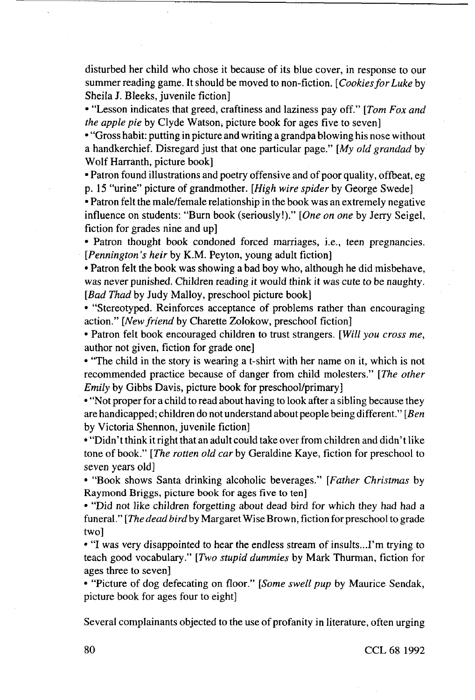disturbed her child who chose it because of its blue cover, in response to our summer reading game. It should be moved to non-fiction. *[Cookies for Luke* by Sheila J. Bleeks, juvenile fiction]

• "Lesson indicates that greed, craftiness and laziness pay off." *[Tom Fox and the apple pie* by Clyde Watson, picture book for ages five to seven]

• "Gross habit: putting in picture and writing a grandpa blowing his nose without a handkerchief. Disregard just that one particular page." *[My old grandad* by Wolf Harranth, picture book]

• Patron found illustrations and poetry offensive and of poor quality, offbeat, eg p. 15 "urine" picture of grandmother. *[High wire spider* by George Swede]

• Patron felt the male/female relationship in the book was an extremely negative influence on students: "Burn book (seriously!)." *[One on one* by Jerry Seigel, fiction for grades nine and up]

• Patron thought book condoned forced marriages, i.e., teen pregnancies. *[Pennington 's heir* by K.M. Peyton, young adult fiction]

• Patron felt the book was showing a bad boy who, although he did misbehave, was never punished. Children reading it would think it was cute to be naughty. *[Bad Thad* by Judy Malloy, preschool picture book]

• "Stereotyped. Reinforces acceptance of problems rather than encouraging action." *[New friend* by Charette Zolokow, preschool fiction]

• Patron felt book encouraged children to trust strangers. *[Will you cross me,* author not given, fiction for grade one]

• "The child in the story is wearing a t-shirt with her name on it, which is not recommended practice because of danger from child molesters." *[The other Emily* by Gibbs Davis, picture book for preschool/primary]

• "Not proper for a child to read about having to look after a sibling because they are handicapped; children do not understand about people being different." *[Ben* by Victoria Shennon, juvenile fiction]

• "Didn't think it right that an adult could take over from children and didn't like tone of book." *[The rotten old car* by Geraldine Kaye, fiction for preschool to seven years old]

• "Book shows Santa drinking alcoholic beverages." *[Father Christmas* by Raymond Briggs, picture book for ages five to ten]

• "Did not like children forgetting about dead bird for which they had had a funeral." *[The dead bird* by Margaret Wise Brown, fiction for preschool to grade two]

• "I was very disappointed to hear the endless stream of insults...I'm trying to teach good vocabulary." *[Two stupid dummies* by Mark Thurman, fiction for ages three to seven]

• "Picture of dog defecating on floor." *[Some swell pup* by Maurice Sendak, picture book for ages four to eight]

Several complainants objected to the use of profanity in literature, often urging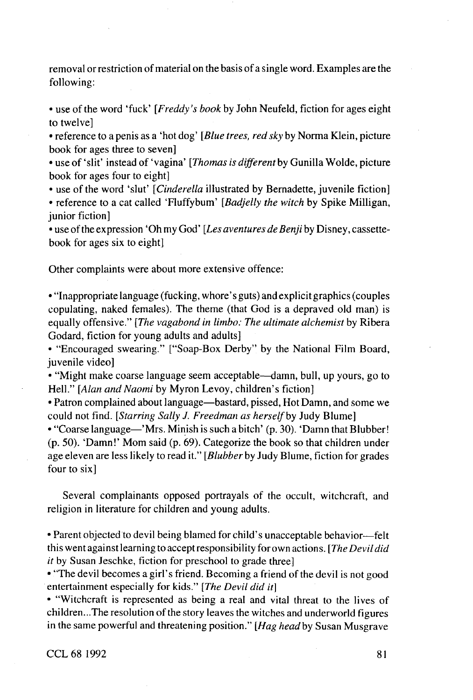removal or restriction of material on the basis of a single word. Examples are the following:

• use of the word 'fuck' *[Freddy's book* by John Neufeld, fiction for ages eight to twelve]

• reference to a penis as a 'hot dog' *[Blue trees, red sky* by Norma Klein, picture book for ages three to seven]

• use of 'slit' instead of 'vagina' [*Thomas is different* by Gunilla Wolde, picture book for ages four to eight]

• use of the word 'slut' *[Cinderella* illustrated by Bernadette, juvenile fiction]

• reference to a cat called 'Fluffybum' *[Badjelly the witch* by Spike Milligan, junior fiction]

• use of the expression' Oh my God' *[Les aventures de Benji* by Disney, cassettebook for ages six to eight]

Other complaints were about more extensive offence:

•"Inappropriate language (fucking, whore's guts) and explicit graphics (couples copulating, naked females). The theme (that God is a depraved old man) is equally offensive." *[The vagabond in limbo: The ultimate alchemist* by Ribera Godard, fiction for young adults and adults]

• "Encouraged swearing." ["Soap-Box Derby" by the National Film Board, juvenile videol

• "Might make coarse language seem acceptable—damn, bull, up yours, go to Hell." *[Alan and Naomi* by Myron Levoy, children's fiction]

• Patron complained about language—bastard, pissed. Hot Damn, and some we could not find. *[Starring Sally J. Freedman as herself by* Judy Blume]

• "Coarse language—'Mrs. Minish is such a bitch' (p. 30). 'Damn that Blubber! (p. 50). 'Damn!' Mom said (p. 69). Categorize the book so that children under age eleven are less likely to read it." *[Blubber* by Judy Blume, fiction for grades four to six]

Several complainants opposed portrayals of the occult, witchcraft, and religion in literature for children and young adults.

• Parent objected to devil being blamed for child's unacceptable behavior—felt this went against learning to acceptresponsibilityforown actions. *[TheDevildid it* by Susan Jeschke, fiction for preschool to grade three]

• "The devil becomes a girl's friend. Becoming a friend of the devil is not good entertainment especially for kids." *[The Devil did it}*

*•* "Witchcraft is represented as being a real and vital threat to the lives of children...The resolution of the story leaves the witches and underworld figures in the same powerful and threatening position." *[Hag headby* Susan Musgrave

CCL 68 1992 81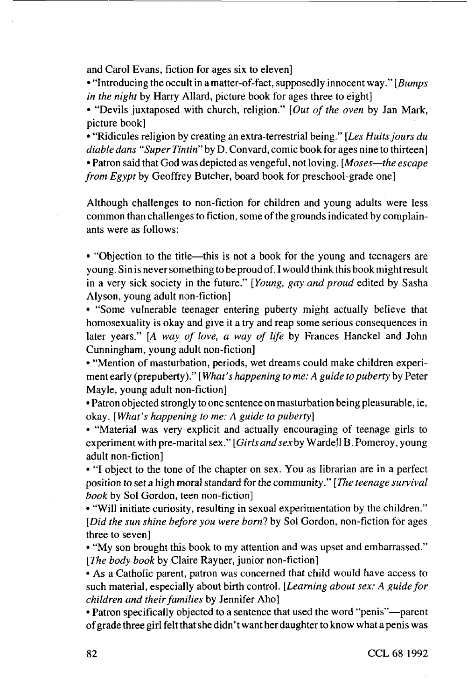and Carol Evans, fiction for ages six to eleven]

• "Introducing the occult in a matter-of-fact, supposedly innocent way." *[Bumps in the night* by Harry Allard, picture book for ages three to eight]

• "Devils juxtaposed with church, religion." *[Out of the oven* by Jan Mark, picture book]

• "Ridicules religion by creating an extra-terrestrial being." *[Les Huits jours du diable dans "Super Tintin"* by D. Convard, comic book for ages nine to thirteen] • Patron said that God was depicted as vengeful, not loving. *[Moses—the escape from Egypt* by Geoffrey Butcher, board book for preschool-grade one]

Although challenges to non-fiction for children and young adults were less common than challenges to fiction, some of the grounds indicated by complainants were as follows:

• "Objection to the title—this is not a book for the young and teenagers are young. Sin is never something to be proud of. I would think this book might result in a very sick society in the future." *[Young, gay and proud* edited by Sasha Alyson, young adult non-fiction]

• "Some vulnerable teenager entering puberty might actually believe that homosexuality is okay and give it a try and reap some serious consequences in later years." [A *way of love, a way of life* by Frances Hanckel and John Cunningham, young adult non-fiction]

• "Mention of masturbation, periods, wet dreams could make children experiment early (prepuberty)." *[What's happening to me: A guide to puberty* by Peter Mayle, young adult non-fiction]

• Patron objected strongly to one sentence on masturbation being pleasurable, ie, okay. *[What's happening to me: A guide to puberty}*

*•* "Material was very explicit and actually encouraging of teenage girls to experiment with pre-marital sex." *[Girls and sexby* Warde'l B. Pomeroy, young adult non-fiction]

• "I object to the tone of the chapter on sex. You as librarian are in a perfect position to set a high moral standard for the community." *[The teenage survival book* by Sol Gordon, teen non-fiction]

• "Will initiate curiosity, resulting in sexual experimentation by the children." *[Did the sun shine before you were born?* by Sol Gordon, non-fiction for ages three to seven]

• "My son brought this book to my attention and was upset and embarrassed." *[The body book* by Claire Rayner, junior non-fiction]

• As a Catholic parent, patron was concerned that child would have access to such material, especially about birth control. *[Learning about sex: A guide for children and their families* by Jennifer Aho]

• Patron specifically objected to a sentence that used the word "penis"—parent of grade three girl felt that she didn' t want her daughter to know what a penis was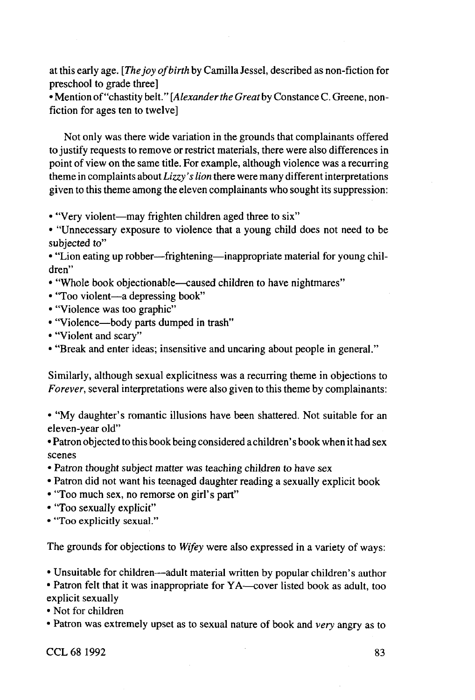at this early age. *[The joy of birth* by Camilla Jessel, described as non-fiction for preschool to grade three]

• Mention of "chastity belt." *[Alexander the Greatby* Constance C. Greene, nonfiction for ages ten to twelve]

Not only was there wide variation in the grounds that complainants offered to justify requests to remove or restrict materials, there were also differences in point of view on the same title. For example, although violence was a recurring theme in complaints about *Lizzy's lion* there were many different interpretations given to this theme among the eleven complainants who sought its suppression:

• "Very violent—may frighten children aged three to six"

• "Unnecessary exposure to violence that a young child does not need to be subjected to"

• "Lion eating up robber—frightening—inappropriate material for young children"

- "Whole book objectionable—caused children to have nightmares"
- "Too violent—a depressing book"
- "Violence was too graphic"
- "Violence—body parts dumped in trash"
- "Violent and scary"
- "Break and enter ideas; insensitive and uncaring about people in general."

Similarly, although sexual explicitness was a recurring theme in objections to *Forever,* several interpretations were also given to this theme by complainants:

• "My daughter's romantic illusions have been shattered. Not suitable for an eleven-year old"

• Patron objected to this book being considered a children's book when it had sex scenes

- Patron thought subject matter was teaching children to have sex
- Patron did not want his teenaged daughter reading a sexually explicit book
- "Too much sex, no remorse on girl's part"
- "Too sexually explicit"

• "Too explicitly sexual."

The grounds for objections to *Wifey* were also expressed in a variety of ways:

• Unsuitable for children—adult material written by popular children's author

• Patron felt that it was inappropriate for YA—cover listed book as adult, too explicit sexually

• Not for children

• Patron was extremely upset as to sexual nature of book and *very* angry as to

 $CCL 68 1992$  83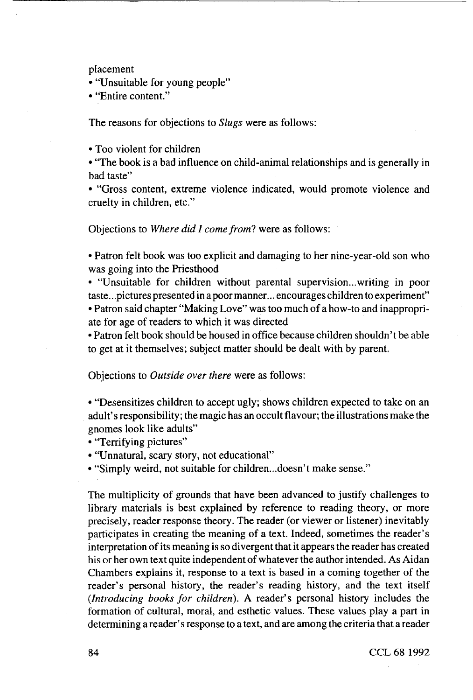placement

• "Unsuitable for young people"

• "Entire content."

The reasons for objections to *Slugs* were as follows:

• Too violent for children

• "The book is a bad influence on child-animal relationships and is generally in bad taste"

• "Gross content, extreme violence indicated, would promote violence and cruelty in children, etc."

Objections to Where did I come from? were as follows:

• Patron felt book was too explicit and damaging to her nine-year-old son who was going into the Priesthood

• "Unsuitable for children without parental supervision...writing in poor taste.. .pictures presented in a poor manner... encourages children to experiment" • Patron said chapter "Making Love" was too much of a how-to and inappropriate for age of readers to which it was directed

• Patron felt book should be housed in office because children shouldn't be able to get at it themselves; subject matter should be dealt with by parent.

Objections to *Outside over there* were as follows:

• "Desensitizes children to accept ugly; shows children expected to take on an adult's responsibility; the magic has an occult flavour; the illustrations make the gnomes look like adults"

• "Terrifying pictures"

• "Unnatural, scary story, not educational"

• "Simply weird, not suitable for children...doesn't make sense."

The multiplicity of grounds that have been advanced to justify challenges to library materials is best explained by reference to reading theory, or more precisely, reader response theory. The reader (or viewer or listener) inevitably participates in creating the meaning of a text. Indeed, sometimes the reader's interpretation of its meaning is so divergent that it appears the reader has created his or her own text quite independent of whatever the author intended. As Aidan Chambers explains it, response to a text is based in a coming together of the reader's personal history, the reader's reading history, and the text itself *(Introducing books for children).* A reader's personal history includes the formation of cultural, moral, and esthetic values. These values play a part in determining a reader's response to a text, and are among the criteria that a reader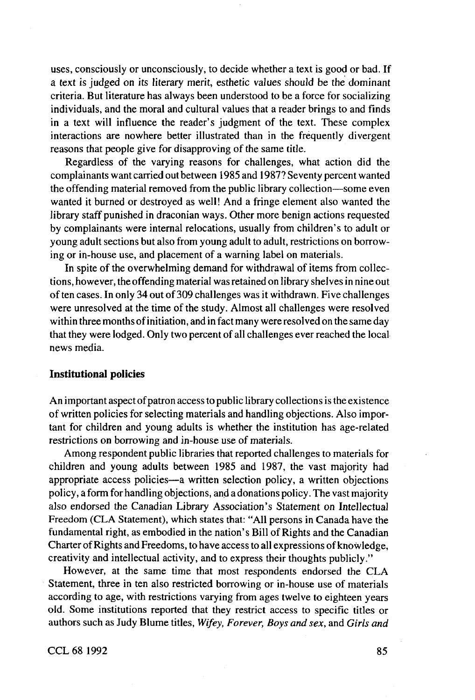uses, consciously or unconsciously, to decide whether a text is good or bad. If a text is judged on its literary merit, esthetic values should be the dominant criteria. But literature has always been understood to be a force for socializing individuals, and the moral and cultural values that a reader brings to and finds in a text will influence the reader's judgment of the text. These complex interactions are nowhere better illustrated than in the frequently divergent reasons that people give for disapproving of the same title.

Regardless of the varying reasons for challenges, what action did the complainants want carried out between 1985 and 1987? Seventy percent wanted the offending material removed from the public library collection—some even wanted it burned or destroyed as well! And a fringe element also wanted the library staff punished in draconian ways. Other more benign actions requested by complainants were internal relocations, usually from children's to adult or young adult sections but also from young adult to adult, restrictions on borrowing or in-house use, and placement of a warning label on materials.

In spite of the overwhelming demand for withdrawal of items from collections, however, the offending material was retained on library shelves in nine out of ten cases. In only 34 out of 309 challenges was it withdrawn. Five challenges were unresolved at the time of the study. Almost all challenges were resolved within three months of initiation, and in fact many were resolved on the same day that they were lodged. Only two percent of all challenges ever reached the local news media.

#### **Institutional policies**

An important aspect of patron access to public library collections is the existence of written policies for selecting materials and handling objections. Also important for children and young adults is whether the institution has age-related restrictions on borrowing and in-house use of materials.

Among respondent public libraries that reported challenges to materials for children and young adults between 1985 and 1987, the vast majority had appropriate access policies—a written selection policy, a written objections policy, a form for handling objections, and a donations policy. The vast majority also endorsed the Canadian Library Association's Statement on Intellectual Freedom (CLA Statement), which states that: "All persons in Canada have the fundamental right, as embodied in the nation's Bill of Rights and the Canadian Charter of Rights and Freedoms, to have access to all expressions of knowledge, creativity and intellectual activity, and to express their thoughts publicly."

However, at the same time that most respondents endorsed the CLA Statement, three in ten also restricted borrowing or in-house use of materials according to age, with restrictions varying from ages twelve to eighteen years old. Some institutions reported that they restrict access to specific titles or authors such as Judy Blume titles, *Wifey, Forever, Boys and sex,* and *Girls and*